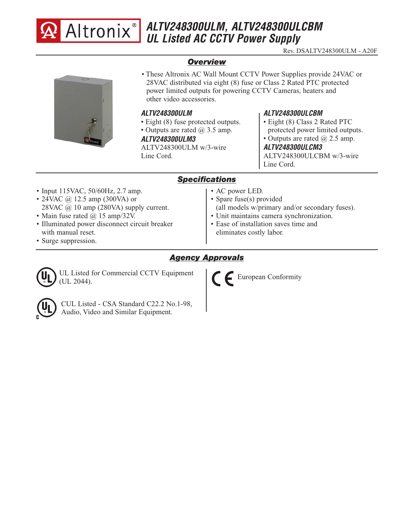

# **ALTV248300ULM, ALTV248300ULCBM UL Listed AC CCTV Power Supply**

Rev. DSALTV248300ULM - A20F

## *Overview*



• These Altronix AC Wall Mount CCTV Power Supplies provide 24VAC or 28VAC distributed via eight (8) fuse or Class 2 Rated PTC protected power limited outputs for powering CCTV Cameras, heaters and other video accessories.

#### **ALTV248300ULM**

- Eight (8) fuse protected outputs.
- Outputs are rated  $\omega$  3.5 amp.

#### **ALTV248300ULM3**

ALTV248300ULM w/3-wire Line Cord.

## **ALTV248300ULCBM**

- Eight (8) Class 2 Rated PTC
- protected power limited outputs.
- Outputs are rated  $@$  2.5 amp.

**ALTV248300ULCM3** ALTV248300ULCBM w/3-wire Line Cord.

### *Specifications*

- Input 115VAC, 50/60Hz, 2.7 amp.
- 24VAC  $\omega$  12.5 amp (300VA) or 28VAC @ 10 amp (280VA) supply current.
- Main fuse rated @ 15 amp/32V.
- Illuminated power disconnect circuit breaker with manual reset.
- Surge suppression.
- AC power LED.
	- Spare fuse(s) provided
	- (all models w/primary and/or secondary fuses).
- Unit maintains camera synchronization. • Ease of installation saves time and
- eliminates costly labor.

## *Agency Approvals*



UL Listed for Commercial CCTV Equipment (UL 2044).



CUL Listed - CSA Standard C22.2 No.1-98, Audio, Video and Similar Equipment.

European Conformity